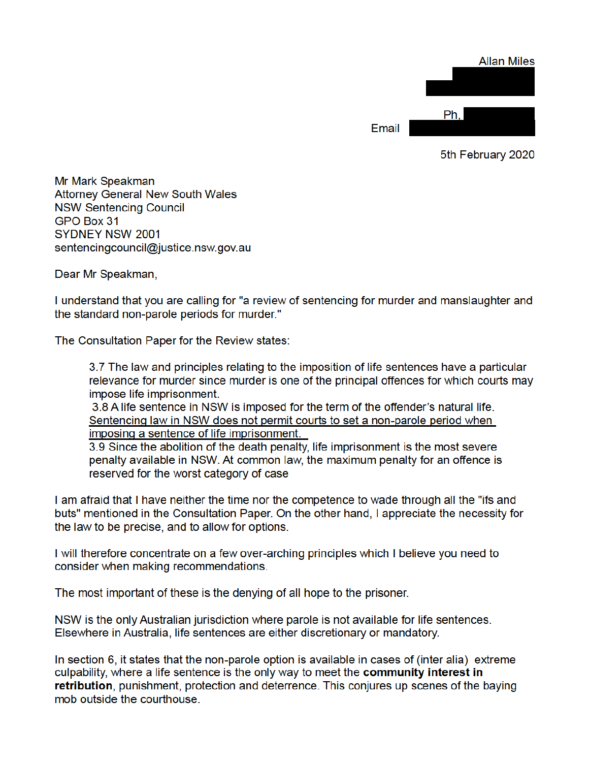|       |     |  | <b>Allan Miles</b> |
|-------|-----|--|--------------------|
|       |     |  |                    |
|       |     |  |                    |
|       |     |  |                    |
|       | Ph. |  |                    |
| Email |     |  |                    |
|       |     |  |                    |

5th February 2020

Mr Mark Speakman **Attorney General New South Wales NSW Sentencing Council** GPO Box 31 SYDNEY NSW 2001 sentencingcouncil@justice.nsw.gov.au

Dear Mr Speakman,

I understand that you are calling for "a review of sentencing for murder and manslaughter and the standard non-parole periods for murder."

The Consultation Paper for the Review states:

3.7 The law and principles relating to the imposition of life sentences have a particular relevance for murder since murder is one of the principal offences for which courts may impose life imprisonment.

3.8 A life sentence in NSW is imposed for the term of the offender's natural life. Sentencing law in NSW does not permit courts to set a non-parole period when imposing a sentence of life imprisonment.

3.9 Since the abolition of the death penalty, life imprisonment is the most severe penalty available in NSW. At common law, the maximum penalty for an offence is reserved for the worst category of case

I am afraid that I have neither the time nor the competence to wade through all the "ifs and buts" mentioned in the Consultation Paper. On the other hand, I appreciate the necessity for the law to be precise, and to allow for options.

I will therefore concentrate on a few over-arching principles which I believe you need to consider when making recommendations.

The most important of these is the denying of all hope to the prisoner.

NSW is the only Australian jurisdiction where parole is not available for life sentences. Elsewhere in Australia, life sentences are either discretionary or mandatory.

In section 6, it states that the non-parole option is available in cases of (inter alia) extreme culpability, where a life sentence is the only way to meet the community interest in retribution, punishment, protection and deterrence. This conjures up scenes of the baying mob outside the courthouse.